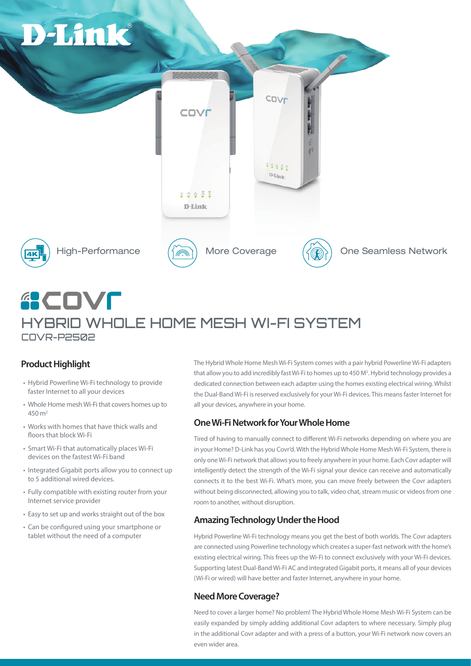

# **GCOVE** HYBRID WHOLE HOME MESH WI-FI SYSTEM COVR-P2502

### **Product Highlight**

- Hybrid Powerline Wi-Fi technology to provide faster Internet to all your devices
- Whole Home mesh Wi-Fi that covers homes up to 450 m2
- Works with homes that have thick walls and floors that block Wi-Fi
- Smart Wi-Fi that automatically places Wi-Fi devices on the fastest Wi-Fi band
- Integrated Gigabit ports allow you to connect up to 5 additional wired devices.
- Fully compatible with existing router from your Internet service provider
- Easy to set up and works straight out of the box
- Can be configured using your smartphone or tablet without the need of a computer

The Hybrid Whole Home Mesh Wi-Fi System comes with a pair hybrid Powerline Wi-Fi adapters that allow you to add incredibly fast Wi-Fi to homes up to 450 M<sup>2</sup>. Hybrid technology provides a dedicated connection between each adapter using the homes existing electrical wiring. Whilst the Dual-Band Wi-Fi is reserved exclusively for your Wi-Fi devices. This means faster Internet for all your devices, anywhere in your home.

#### **One Wi-Fi Network for Your Whole Home**

Tired of having to manually connect to different Wi-Fi networks depending on where you are in your Home? D-Link has you Covr'd. With the Hybrid Whole Home Mesh Wi-Fi System, there is only one Wi-Fi network that allows you to freely anywhere in your home. Each Covr adapter will intelligently detect the strength of the Wi-Fi signal your device can receive and automatically connects it to the best Wi-Fi. What's more, you can move freely between the Covr adapters without being disconnected, allowing you to talk, video chat, stream music or videos from one room to another, without disruption.

#### **Amazing Technology Under the Hood**

Hybrid Powerline Wi-Fi technology means you get the best of both worlds. The Covr adapters are connected using Powerline technology which creates a super-fast network with the home's existing electrical wiring. This frees up the Wi-Fi to connect exclusively with your Wi-Fi devices. Supporting latest Dual-Band Wi-Fi AC and integrated Gigabit ports, it means all of your devices (Wi-Fi or wired) will have better and faster Internet, anywhere in your home.

#### **Need More Coverage?**

Need to cover a larger home? No problem! The Hybrid Whole Home Mesh Wi-Fi System can be easily expanded by simply adding additional Covr adapters to where necessary. Simply plug in the additional Covr adapter and with a press of a button, your Wi-Fi network now covers an even wider area.